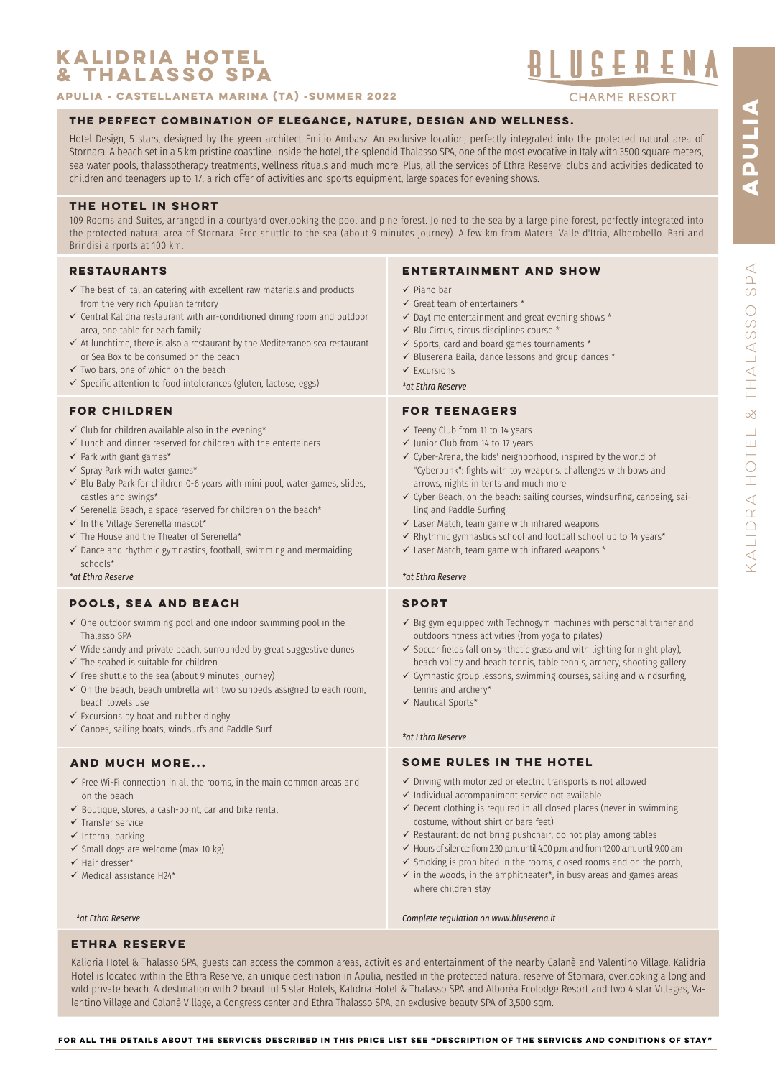## **KALIDRIA hotel & THALASSO SPA**

**APULIa - CASTELLANETA MARINA (TA) -SUMMER 2022**

# 

**CHARME RESORT** 

## **THE PERFECT COMBINATION OF ELEGANCE, NATURE, DESIGN AND WELLNESS.**

Hotel-Design, 5 stars, designed by the green architect Emilio Ambasz. An exclusive location, perfectly integrated into the protected natural area of Stornara. A beach set in a 5 km pristine coastline. Inside the hotel, the splendid Thalasso SPA, one of the most evocative in Italy with 3500 square meters, sea water pools, thalassotherapy treatments, wellness rituals and much more. Plus, all the services of Ethra Reserve: clubs and activities dedicated to children and teenagers up to 17, a rich offer of activities and sports equipment, large spaces for evening shows.

## **THE HOTEL IN SHORT**

109 Rooms and Suites, arranged in a courtyard overlooking the pool and pine forest. Joined to the sea by a large pine forest, perfectly integrated into the protected natural area of Stornara. Free shuttle to the sea (about 9 minutes journey). A few km from Matera, Valle d'Itria, Alberobello. Bari and Brindisi airports at 100 km.

## **RESTAURANTS**

- $\checkmark$  The best of Italian catering with excellent raw materials and products from the very rich Apulian territory
- $\checkmark$  Central Kalidria restaurant with air-conditioned dining room and outdoor area, one table for each family
- $\checkmark$  At lunchtime, there is also a restaurant by the Mediterraneo sea restaurant or Sea Box to be consumed on the beach
- $\checkmark$  Two bars, one of which on the beach
- $\checkmark$  Specific attention to food intolerances (gluten, lactose, eggs)

## **FOR CHILDREN**

- $\checkmark$  Club for children available also in the evening\*
- $\checkmark$  Lunch and dinner reserved for children with the entertainers
- $\checkmark$  Park with giant games\*
- $\checkmark$  Spray Park with water games\*
- $\checkmark$  Blu Baby Park for children 0-6 years with mini pool, water games, slides, castles and swings\*
- $\checkmark$  Serenella Beach, a space reserved for children on the beach\*
- $\checkmark$  In the Village Serenella mascot\*
- $\checkmark$  The House and the Theater of Serenella\*
- $\checkmark$  Dance and rhythmic gymnastics, football, swimming and mermaiding schools\*

*\*at Ethra Reserve \*at Ethra Reserve*

## **POOLS, SEA AND BEACH**

- $\checkmark$  One outdoor swimming pool and one indoor swimming pool in the Thalasso SPA
- $\checkmark$  Wide sandy and private beach, surrounded by great suggestive dunes
- $\checkmark$  The seabed is suitable for children.
- $\checkmark$  Free shuttle to the sea (about 9 minutes journey)
- $\checkmark$  On the beach, beach umbrella with two sunbeds assigned to each room, beach towels use
- $\checkmark$  Excursions by boat and rubber dinghy
- $\checkmark$  Canoes, sailing boats, windsurfs and Paddle Surf

## **AND MUCH MORE...**

- $\checkmark$  Free Wi-Fi connection in all the rooms, in the main common areas and on the beach
- $\checkmark$  Boutique, stores, a cash-point, car and bike rental
- $\checkmark$  Transfer service
- $\checkmark$  Internal parking
- $\checkmark$  Small dogs are welcome (max 10 kg)
- $\checkmark$  Hair dresser\*
- $\checkmark$  Medical assistance H24\*

## **ENTERTAINMENT AND SHOW**

- $\checkmark$  Piano bar
- $\checkmark$  Great team of entertainers  $*$
- $\checkmark$  Daytime entertainment and great evening shows  $^*$
- $\checkmark$  Blu Circus, circus disciplines course  $*$
- $\checkmark$  Sports, card and board games tournaments  $^*$
- $\checkmark$  Bluserena Baila, dance lessons and group dances  $^*$
- $\checkmark$  Excursions

*\*at Ethra Reserve*

## **FOR TEENAGERS**

- $\checkmark$  Teeny Club from 11 to 14 years
- $\checkmark$  Junior Club from 14 to 17 years
- $\checkmark$  Cyber-Arena, the kids' neighborhood, inspired by the world of "Cyberpunk": fghts with toy weapons, challenges with bows and arrows, nights in tents and much more
- $\checkmark$  Cyber-Beach, on the beach: sailing courses, windsurfing, canoeing, sailing and Paddle Surfng
- $\checkmark$  Laser Match, team game with infrared weapons
- $\checkmark$  Rhythmic gymnastics school and football school up to 14 years\*
- $\checkmark$  Laser Match, team game with infrared weapons  $*$

#### **sport**

- $\checkmark$  Big gym equipped with Technogym machines with personal trainer and outdoors ftness activities (from yoga to pilates)
- $\checkmark$  Soccer fields (all on synthetic grass and with lighting for night play), beach volley and beach tennis, table tennis, archery, shooting gallery.
- $\checkmark$  Gymnastic group lessons, swimming courses, sailing and windsurfing, tennis and archery\*
- $\checkmark$  Nautical Sports\*

#### *\*at Ethra Reserve*

## **SOME RULES IN THE HOTEL**

- $\checkmark$  Driving with motorized or electric transports is not allowed
- $\checkmark$  Individual accompaniment service not available
- $\checkmark$  Decent clothing is required in all closed places (never in swimming costume, without shirt or bare feet)
- $\checkmark$  Restaurant: do not bring pushchair; do not play among tables
- $\checkmark$  Hours of silence: from 2.30 p.m. until 4.00 p.m. and from 12.00 a.m. until 9.00 am
- $\checkmark$  Smoking is prohibited in the rooms, closed rooms and on the porch,  $\checkmark$  in the woods, in the amphitheater\*, in busy areas and games areas where children stay

*\*at Ethra Reserve Complete regulation on www.bluserena.it*

## **ethra reserve**

Kalidria Hotel & Thalasso SPA, guests can access the common areas, activities and entertainment of the nearby Calanè and Valentino Village. Kalidria Hotel is located within the Ethra Reserve, an unique destination in Apulia, nestled in the protected natural reserve of Stornara, overlooking a long and wild private beach. A destination with 2 beautiful 5 star Hotels, Kalidria Hotel & Thalasso SPA and Alborèa Ecolodge Resort and two 4 star Villages, Valentino Village and Calanè Village, a Congress center and Ethra Thalasso SPA, an exclusive beauty SPA of 3,500 sqm.

**APULIA**

ADULIA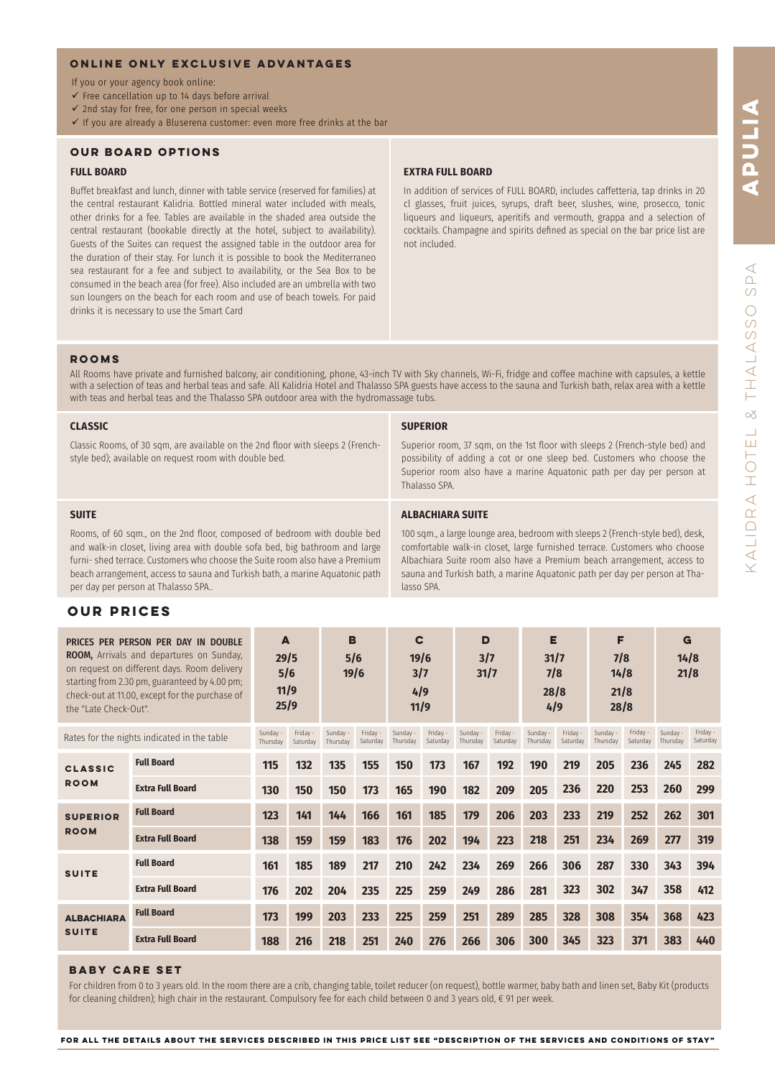## **ONLINE ONLY EXCLUSIVE ADVANTAGES**

- If you or your agency book online:
- $\checkmark$  Free cancellation up to 14 days before arrival
- $\checkmark$  2nd stay for free, for one person in special weeks
- $\checkmark$  If you are already a Bluserena customer: even more free drinks at the bar

## **OUR BOARD OPTIONS**

#### **FULL BOARD**

Buffet breakfast and lunch, dinner with table service (reserved for families) at the central restaurant Kalidria. Bottled mineral water included with meals, other drinks for a fee. Tables are available in the shaded area outside the central restaurant (bookable directly at the hotel, subject to availability). Guests of the Suites can request the assigned table in the outdoor area for the duration of their stay. For lunch it is possible to book the Mediterraneo sea restaurant for a fee and subject to availability, or the Sea Box to be consumed in the beach area (for free). Also included are an umbrella with two sun loungers on the beach for each room and use of beach towels. For paid drinks it is necessary to use the Smart Card

#### **EXTRA FULL BOARD**

In addition of services of FULL BOARD, includes caffetteria, tap drinks in 20 cl glasses, fruit juices, syrups, draft beer, slushes, wine, prosecco, tonic liqueurs and liqueurs, aperitifs and vermouth, grappa and a selection of cocktails. Champagne and spirits defned as special on the bar price list are not included.

## **ROOMS**

All Rooms have private and furnished balcony, air conditioning, phone, 43-inch TV with Sky channels, Wi-Fi, fridge and coffee machine with capsules, a kettle with a selection of teas and herbal teas and safe. All Kalidria Hotel and Thalasso SPA guests have access to the sauna and Turkish bath, relax area with a kettle with teas and herbal teas and the Thalasso SPA outdoor area with the hydromassage tubs.

#### **CLASSIC**

Classic Rooms, of 30 sqm, are available on the 2nd floor with sleeps 2 (Frenchstyle bed); available on request room with double bed.

#### **SUPERIOR**

lasso SPA.

**ALBACHIARA SUITE**

Superior room, 37 sqm, on the 1st floor with sleeps 2 (French-style bed) and possibility of adding a cot or one sleep bed. Customers who choose the Superior room also have a marine Aquatonic path per day per person at Thalasso SPA.

100 sqm., a large lounge area, bedroom with sleeps 2 (French-style bed), desk, comfortable walk-in closet, large furnished terrace. Customers who choose Albachiara Suite room also have a Premium beach arrangement, access to sauna and Turkish bath, a marine Aquatonic path per day per person at Tha-

## **SUITE**

Rooms, of 60 sqm., on the 2nd floor, composed of bedroom with double bed and walk-in closet, living area with double sofa bed, big bathroom and large furni- shed terrace. Customers who choose the Suite room also have a Premium beach arrangement, access to sauna and Turkish bath, a marine Aquatonic path per day per person at Thalasso SPA..

## **OUR PRICES**

| PRICES PER PERSON PER DAY IN DOUBLE<br><b>ROOM,</b> Arrivals and departures on Sunday,<br>on request on different days. Room delivery<br>starting from 2.30 pm, guaranteed by 4.00 pm;<br>check-out at 11.00, except for the purchase of<br>the "Late Check-Out". |                         | A<br>29/5<br>5/6<br>11/9<br>25/9 |                      | B<br>5/6<br>19/6     |                      | C<br>19/6<br>3/7<br>4/9<br>11/9 |                      | D<br>3/7<br>31/7     |                      | Е<br>31/7<br>7/8<br>28/8<br>4/9 |                      | F<br>7/8<br>14/8<br>21/8<br>28/8 |                      | G<br>14/8<br>21/8    |                      |
|-------------------------------------------------------------------------------------------------------------------------------------------------------------------------------------------------------------------------------------------------------------------|-------------------------|----------------------------------|----------------------|----------------------|----------------------|---------------------------------|----------------------|----------------------|----------------------|---------------------------------|----------------------|----------------------------------|----------------------|----------------------|----------------------|
| Rates for the nights indicated in the table                                                                                                                                                                                                                       |                         | Sunday -<br>Thursdav             | Friday -<br>Saturday | Sunday -<br>Thursday | Friday -<br>Saturday | Sunday -<br>Thursdav            | Friday -<br>Saturday | Sunday -<br>Thursday | Friday -<br>Saturday | Sunday -<br>Thursday            | Friday -<br>Saturday | Sunday -<br>Thursday             | Friday -<br>Saturday | Sunday -<br>Thursdav | Friday -<br>Saturday |
| <b>CLASSIC</b><br><b>ROOM</b>                                                                                                                                                                                                                                     | <b>Full Board</b>       | 115                              | 132                  | 135                  | 155                  | 150                             | 173                  | 167                  | 192                  | 190                             | 219                  | 205                              | 236                  | 245                  | 282                  |
|                                                                                                                                                                                                                                                                   | <b>Extra Full Board</b> | 130                              | 150                  | 150                  | 173                  | 165                             | 190                  | 182                  | 209                  | 205                             | 236                  | 220                              | 253                  | 260                  | 299                  |
| <b>SUPERIOR</b><br><b>ROOM</b>                                                                                                                                                                                                                                    | <b>Full Board</b>       | 123                              | 141                  | 144                  | 166                  | 161                             | 185                  | 179                  | 206                  | 203                             | 233                  | 219                              | 252                  | 262                  | 301                  |
|                                                                                                                                                                                                                                                                   | <b>Extra Full Board</b> | 138                              | 159                  | 159                  | 183                  | 176                             | 202                  | 194                  | 223                  | 218                             | 251                  | 234                              | 269                  | 277                  | 319                  |
| <b>SUITE</b>                                                                                                                                                                                                                                                      | <b>Full Board</b>       | 161                              | 185                  | 189                  | 217                  | 210                             | 242                  | 234                  | 269                  | 266                             | 306                  | 287                              | 330                  | 343                  | 394                  |
|                                                                                                                                                                                                                                                                   | <b>Extra Full Board</b> | 176                              | 202                  | 204                  | 235                  | 225                             | 259                  | 249                  | 286                  | 281                             | 323                  | 302                              | 347                  | 358                  | 412                  |
| <b>ALBACHIARA</b><br><b>SUITE</b>                                                                                                                                                                                                                                 | <b>Full Board</b>       | 173                              | 199                  | 203                  | 233                  | 225                             | 259                  | 251                  | 289                  | 285                             | 328                  | 308                              | 354                  | 368                  | 423                  |
|                                                                                                                                                                                                                                                                   | <b>Extra Full Board</b> | 188                              | 216                  | 218                  | 251                  | 240                             | 276                  | 266                  | 306                  | 300                             | 345                  | 323                              | 371                  | 383                  | 440                  |

## **BABY CARE SET**

For children from 0 to 3 years old. In the room there are a crib, changing table, toilet reducer (on request), bottle warmer, baby bath and linen set, Baby Kit (products for cleaning children); high chair in the restaurant. Compulsory fee for each child between 0 and 3 years old, € 91 per week.